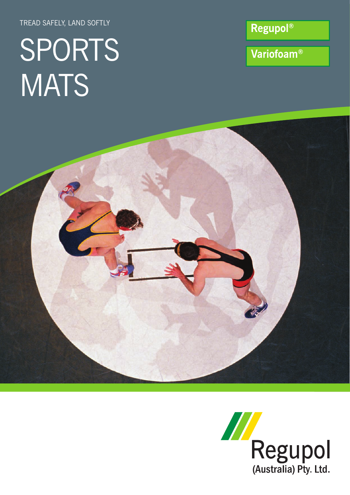TREAD SAFELY, LAND SOFTLY

# SPORTS **MATS**

**Regupol®** 

Variofoam®



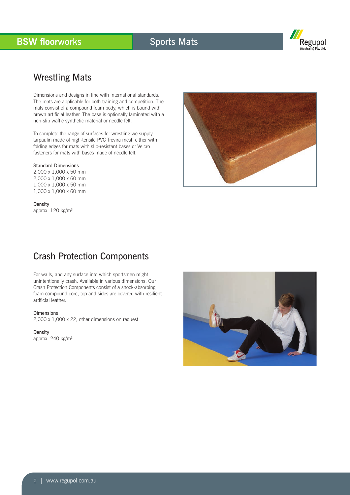## **BSW floorworks Sports Mats**

![](_page_1_Picture_2.jpeg)

## Wrestling Mats

Dimensions and designs in line with international standards. The mats are applicable for both training and competition. The mats consist of a compound foam body, which is bound with brown artificial leather. The base is optionally laminated with a non-slip waffle synthetic material or needle felt.

To complete the range of surfaces for wrestling we supply tarpaulin made of high-tensile PVC Trevira mesh either with folding edges for mats with slip-resistant bases or Velcro fasteners for mats with bases made of needle felt.

### Standard Dimensions

2,000 x 1,000 x 50 mm 2,000 x 1,000 x 60 mm 1,000 x 1,000 x 50 mm 1,000 x 1,000 x 60 mm

Density approx. 120 kg/m3

![](_page_1_Picture_9.jpeg)

## Crash Protection Components

For walls, and any surface into which sportsmen might unintentionally crash. Available in various dimensions. Our Crash Protection Components consist of a shock-absorbing foam compound core, top and sides are covered with resilient artificial leather.

#### Dimensions

2,000 x 1,000 x 22, other dimensions on request

#### Density

approx. 240 kg/m3

![](_page_1_Picture_16.jpeg)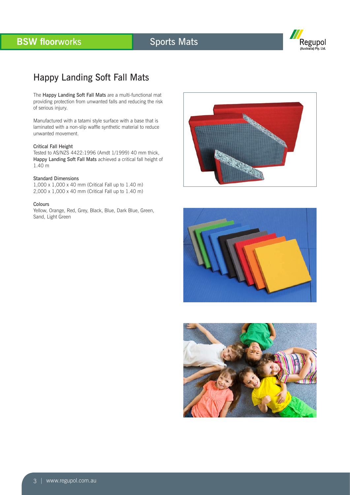# **BSW floorworks Sports Mats**

![](_page_2_Picture_2.jpeg)

## Happy Landing Soft Fall Mats

The Happy Landing Soft Fall Mats are a multi-functional mat providing protection from unwanted falls and reducing the risk of serious injury.

Manufactured with a tatami style surface with a base that is laminated with a non-slip waffle synthetic material to reduce unwanted movement.

#### Critical Fall Height

Tested to AS/NZS 4422:1996 (Amdt 1/1999) 40 mm thick, Happy Landing Soft Fall Mats achieved a critical fall height of 1.40 m

#### Standard Dimensions

1,000 x 1,000 x 40 mm (Critical Fall up to 1.40 m) 2,000 x 1,000 x 40 mm (Critical Fall up to 1.40 m)

#### Colours

Yellow, Orange, Red, Grey, Black, Blue, Dark Blue, Green, Sand, Light Green

![](_page_2_Picture_12.jpeg)

![](_page_2_Picture_13.jpeg)

![](_page_2_Picture_14.jpeg)